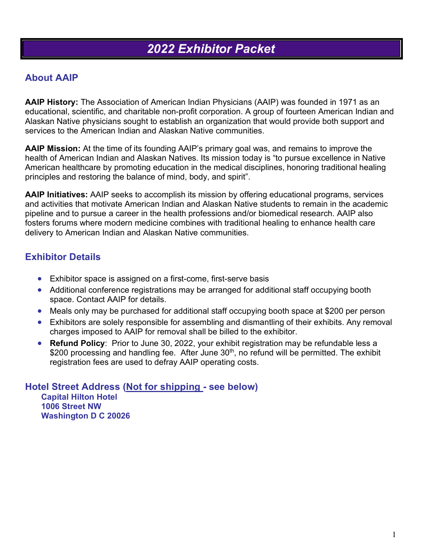### **About AAIP**

**AAIP History:** The Association of American Indian Physicians (AAIP) was founded in 1971 as an educational, scientific, and charitable non-profit corporation. A group of fourteen American Indian and Alaskan Native physicians sought to establish an organization that would provide both support and services to the American Indian and Alaskan Native communities.

**AAIP Mission:** At the time of its founding AAIP's primary goal was, and remains to improve the health of American Indian and Alaskan Natives. Its mission today is "to pursue excellence in Native American healthcare by promoting education in the medical disciplines, honoring traditional healing principles and restoring the balance of mind, body, and spirit".

**AAIP Initiatives:** AAIP seeks to accomplish its mission by offering educational programs, services and activities that motivate American Indian and Alaskan Native students to remain in the academic pipeline and to pursue a career in the health professions and/or biomedical research. AAIP also fosters forums where modern medicine combines with traditional healing to enhance health care delivery to American Indian and Alaskan Native communities.

## **Exhibitor Details**

- Exhibitor space is assigned on a first-come, first-serve basis
- Additional conference registrations may be arranged for additional staff occupying booth space. Contact AAIP for details.
- Meals only may be purchased for additional staff occupying booth space at \$200 per person
- Exhibitors are solely responsible for assembling and dismantling of their exhibits. Any removal charges imposed to AAIP for removal shall be billed to the exhibitor.
- **Refund Policy**: Prior to June 30, 2022, your exhibit registration may be refundable less a \$200 processing and handling fee. After June 30<sup>th</sup>, no refund will be permitted. The exhibit registration fees are used to defray AAIP operating costs.

**Hotel Street Address (Not for shipping - see below) Capital Hilton Hotel 1006 Street NW Washington D C 20026**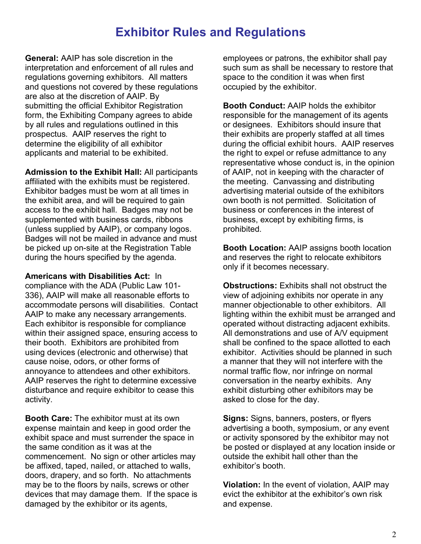# **Exhibitor Rules and Regulations**

**General:** AAIP has sole discretion in the interpretation and enforcement of all rules and regulations governing exhibitors. All matters and questions not covered by these regulations are also at the discretion of AAIP. By submitting the official Exhibitor Registration form, the Exhibiting Company agrees to abide by all rules and regulations outlined in this prospectus. AAIP reserves the right to determine the eligibility of all exhibitor applicants and material to be exhibited.

**Admission to the Exhibit Hall:** All participants affiliated with the exhibits must be registered. Exhibitor badges must be worn at all times in the exhibit area, and will be required to gain access to the exhibit hall. Badges may not be supplemented with business cards, ribbons (unless supplied by AAIP), or company logos. Badges will not be mailed in advance and must be picked up on-site at the Registration Table during the hours specified by the agenda.

**Americans with Disabilities Act:** In compliance with the ADA (Public Law 101- 336), AAIP will make all reasonable efforts to accommodate persons will disabilities. Contact AAIP to make any necessary arrangements. Each exhibitor is responsible for compliance within their assigned space, ensuring access to their booth. Exhibitors are prohibited from using devices (electronic and otherwise) that cause noise, odors, or other forms of annoyance to attendees and other exhibitors. AAIP reserves the right to determine excessive disturbance and require exhibitor to cease this activity.

**Booth Care:** The exhibitor must at its own expense maintain and keep in good order the exhibit space and must surrender the space in the same condition as it was at the commencement. No sign or other articles may be affixed, taped, nailed, or attached to walls, doors, drapery, and so forth. No attachments may be to the floors by nails, screws or other devices that may damage them. If the space is damaged by the exhibitor or its agents,

employees or patrons, the exhibitor shall pay such sum as shall be necessary to restore that space to the condition it was when first occupied by the exhibitor.

**Booth Conduct:** AAIP holds the exhibitor responsible for the management of its agents or designees. Exhibitors should insure that their exhibits are properly staffed at all times during the official exhibit hours. AAIP reserves the right to expel or refuse admittance to any representative whose conduct is, in the opinion of AAIP, not in keeping with the character of the meeting. Canvassing and distributing advertising material outside of the exhibitors own booth is not permitted. Solicitation of business or conferences in the interest of business, except by exhibiting firms, is prohibited.

**Booth Location:** AAIP assigns booth location and reserves the right to relocate exhibitors only if it becomes necessary.

**Obstructions:** Exhibits shall not obstruct the view of adjoining exhibits nor operate in any manner objectionable to other exhibitors. All lighting within the exhibit must be arranged and operated without distracting adjacent exhibits. All demonstrations and use of A/V equipment shall be confined to the space allotted to each exhibitor. Activities should be planned in such a manner that they will not interfere with the normal traffic flow, nor infringe on normal conversation in the nearby exhibits. Any exhibit disturbing other exhibitors may be asked to close for the day.

**Signs:** Signs, banners, posters, or flyers advertising a booth, symposium, or any event or activity sponsored by the exhibitor may not be posted or displayed at any location inside or outside the exhibit hall other than the exhibitor's booth.

**Violation:** In the event of violation, AAIP may evict the exhibitor at the exhibitor's own risk and expense.